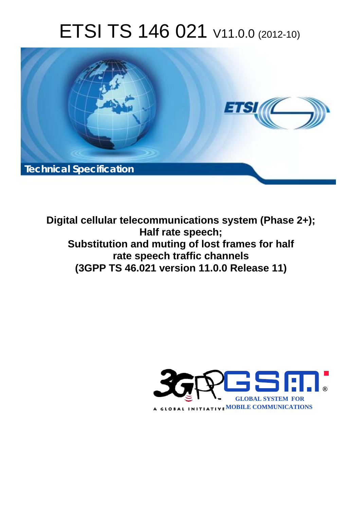# ETSI TS 146 021 V11.0.0 (2012-10)



**Digital cellular telecommunications system (Phase 2+); Half rate speech; Substitution and muting of lost frames for half rate speech traffic channels (3GPP TS 46.021 version 11.0.0 Release 11)** 

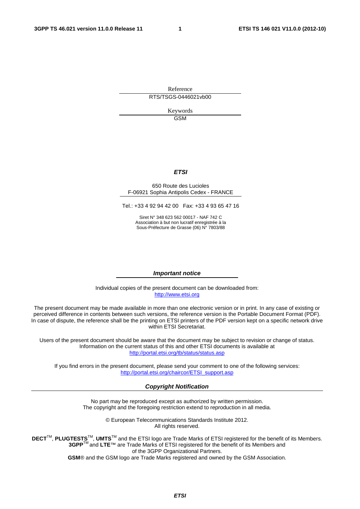Reference RTS/TSGS-0446021vb00

> Keywords GSM

#### *ETSI*

#### 650 Route des Lucioles F-06921 Sophia Antipolis Cedex - FRANCE

Tel.: +33 4 92 94 42 00 Fax: +33 4 93 65 47 16

Siret N° 348 623 562 00017 - NAF 742 C Association à but non lucratif enregistrée à la Sous-Préfecture de Grasse (06) N° 7803/88

#### *Important notice*

Individual copies of the present document can be downloaded from: [http://www.etsi.org](http://www.etsi.org/)

The present document may be made available in more than one electronic version or in print. In any case of existing or perceived difference in contents between such versions, the reference version is the Portable Document Format (PDF). In case of dispute, the reference shall be the printing on ETSI printers of the PDF version kept on a specific network drive within ETSI Secretariat.

Users of the present document should be aware that the document may be subject to revision or change of status. Information on the current status of this and other ETSI documents is available at <http://portal.etsi.org/tb/status/status.asp>

If you find errors in the present document, please send your comment to one of the following services: [http://portal.etsi.org/chaircor/ETSI\\_support.asp](http://portal.etsi.org/chaircor/ETSI_support.asp)

#### *Copyright Notification*

No part may be reproduced except as authorized by written permission. The copyright and the foregoing restriction extend to reproduction in all media.

> © European Telecommunications Standards Institute 2012. All rights reserved.

**DECT**TM, **PLUGTESTS**TM, **UMTS**TM and the ETSI logo are Trade Marks of ETSI registered for the benefit of its Members. **3GPP**TM and **LTE**™ are Trade Marks of ETSI registered for the benefit of its Members and of the 3GPP Organizational Partners.

**GSM**® and the GSM logo are Trade Marks registered and owned by the GSM Association.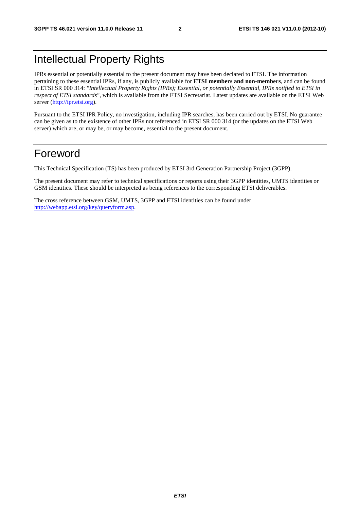# Intellectual Property Rights

IPRs essential or potentially essential to the present document may have been declared to ETSI. The information pertaining to these essential IPRs, if any, is publicly available for **ETSI members and non-members**, and can be found in ETSI SR 000 314: *"Intellectual Property Rights (IPRs); Essential, or potentially Essential, IPRs notified to ETSI in respect of ETSI standards"*, which is available from the ETSI Secretariat. Latest updates are available on the ETSI Web server [\(http://ipr.etsi.org](http://webapp.etsi.org/IPR/home.asp)).

Pursuant to the ETSI IPR Policy, no investigation, including IPR searches, has been carried out by ETSI. No guarantee can be given as to the existence of other IPRs not referenced in ETSI SR 000 314 (or the updates on the ETSI Web server) which are, or may be, or may become, essential to the present document.

### Foreword

This Technical Specification (TS) has been produced by ETSI 3rd Generation Partnership Project (3GPP).

The present document may refer to technical specifications or reports using their 3GPP identities, UMTS identities or GSM identities. These should be interpreted as being references to the corresponding ETSI deliverables.

The cross reference between GSM, UMTS, 3GPP and ETSI identities can be found under [http://webapp.etsi.org/key/queryform.asp.](http://webapp.etsi.org/key/queryform.asp)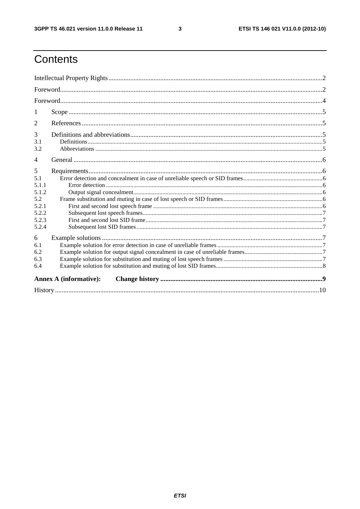$\mathbf{3}$ 

# Contents

| 1                                                                     |                               |  |
|-----------------------------------------------------------------------|-------------------------------|--|
| 2                                                                     |                               |  |
| 3<br>3.1<br>3.2                                                       |                               |  |
| $\overline{\mathcal{A}}$                                              |                               |  |
| 5<br>5.1<br>5.1.1<br>5.1.2<br>5.2<br>5.2.1<br>5.2.2<br>5.2.3<br>5.2.4 |                               |  |
| 6<br>6.1<br>6.2<br>6.3<br>6.4                                         |                               |  |
|                                                                       | <b>Annex A (informative):</b> |  |
|                                                                       |                               |  |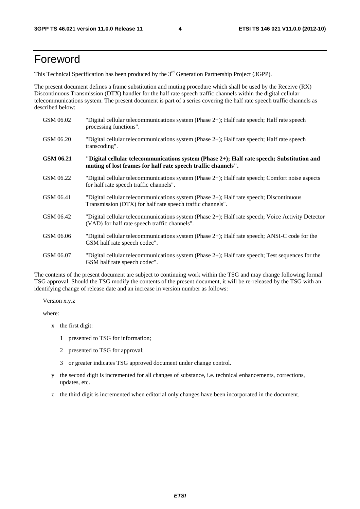### Foreword

This Technical Specification has been produced by the 3<sup>rd</sup> Generation Partnership Project (3GPP).

The present document defines a frame substitution and muting procedure which shall be used by the Receive (RX) Discontinuous Transmission (DTX) handler for the half rate speech traffic channels within the digital cellular telecommunications system. The present document is part of a series covering the half rate speech traffic channels as described below:

| GSM 06.02 | "Digital cellular telecommunications system (Phase $2+$ ); Half rate speech; Half rate speech<br>processing functions".                                     |
|-----------|-------------------------------------------------------------------------------------------------------------------------------------------------------------|
| GSM 06.20 | "Digital cellular telecommunications system (Phase 2+); Half rate speech; Half rate speech<br>transcoding".                                                 |
| GSM 06.21 | "Digital cellular telecommunications system (Phase 2+); Half rate speech; Substitution and<br>muting of lost frames for half rate speech traffic channels". |
| GSM 06.22 | "Digital cellular telecommunications system (Phase 2+); Half rate speech; Comfort noise aspects<br>for half rate speech traffic channels".                  |
| GSM 06.41 | "Digital cellular telecommunications system (Phase 2+); Half rate speech; Discontinuous<br>Transmission (DTX) for half rate speech traffic channels".       |
| GSM 06.42 | "Digital cellular telecommunications system (Phase 2+); Half rate speech; Voice Activity Detector<br>(VAD) for half rate speech traffic channels".          |
| GSM 06.06 | "Digital cellular telecommunications system (Phase $2+$ ); Half rate speech; ANSI-C code for the<br>GSM half rate speech codec".                            |
| GSM 06.07 | "Digital cellular telecommunications system (Phase 2+); Half rate speech; Test sequences for the<br>GSM half rate speech codec".                            |

The contents of the present document are subject to continuing work within the TSG and may change following formal TSG approval. Should the TSG modify the contents of the present document, it will be re-released by the TSG with an identifying change of release date and an increase in version number as follows:

Version x.y.z

where:

- x the first digit:
	- 1 presented to TSG for information;
	- 2 presented to TSG for approval;
	- 3 or greater indicates TSG approved document under change control.
- y the second digit is incremented for all changes of substance, i.e. technical enhancements, corrections, updates, etc.
- z the third digit is incremented when editorial only changes have been incorporated in the document.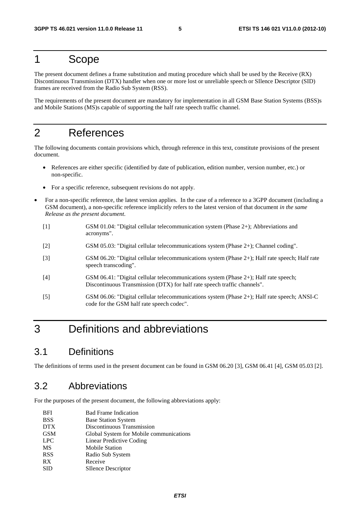#### 1 Scope

The present document defines a frame substitution and muting procedure which shall be used by the Receive (RX) Discontinuous Transmission (DTX) handler when one or more lost or unreliable speech or SIlence Descriptor (SID) frames are received from the Radio Sub System (RSS).

The requirements of the present document are mandatory for implementation in all GSM Base Station Systems (BSS)s and Mobile Stations (MS)s capable of supporting the half rate speech traffic channel.

### 2 References

The following documents contain provisions which, through reference in this text, constitute provisions of the present document.

- References are either specific (identified by date of publication, edition number, version number, etc.) or non-specific.
- For a specific reference, subsequent revisions do not apply.
- For a non-specific reference, the latest version applies. In the case of a reference to a 3GPP document (including a GSM document), a non-specific reference implicitly refers to the latest version of that document *in the same Release as the present document*.
	- [1] GSM 01.04: "Digital cellular telecommunication system (Phase 2+); Abbreviations and acronyms".
	- [2] GSM 05.03: "Digital cellular telecommunications system (Phase 2+); Channel coding".
	- [3] GSM 06.20: "Digital cellular telecommunications system (Phase 2+); Half rate speech; Half rate speech transcoding".
	- [4] GSM 06.41: "Digital cellular telecommunications system (Phase 2+); Half rate speech; Discontinuous Transmission (DTX) for half rate speech traffic channels".
	- [5] GSM 06.06: "Digital cellular telecommunications system (Phase 2+); Half rate speech; ANSI-C code for the GSM half rate speech codec".

# 3 Definitions and abbreviations

#### 3.1 Definitions

The definitions of terms used in the present document can be found in GSM 06.20 [3], GSM 06.41 [4], GSM 05.03 [2].

#### 3.2 Abbreviations

For the purposes of the present document, the following abbreviations apply:

| <b>BFI</b> | <b>Bad Frame Indication</b>             |
|------------|-----------------------------------------|
| <b>BSS</b> | <b>Base Station System</b>              |
| <b>DTX</b> | Discontinuous Transmission              |
| <b>GSM</b> | Global System for Mobile communications |
| <b>LPC</b> | Linear Predictive Coding                |
| <b>MS</b>  | <b>Mobile Station</b>                   |
| <b>RSS</b> | Radio Sub System                        |
| RX         | Receive                                 |
| <b>SID</b> | <b>SIlence Descriptor</b>               |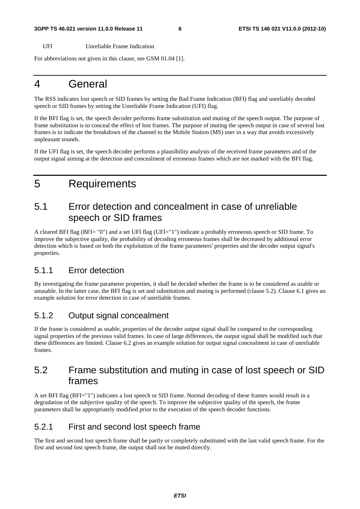#### **3GPP TS 46.021 version 11.0.0 Release 11 6 ETSI TS 146 021 V11.0.0 (2012-10)**

UFI Unreliable Frame Indication

For abbreviations not given in this clause, see GSM 01.04 [1].

### 4 General

The RSS indicates lost speech or SID frames by setting the Bad Frame Indication (BFI) flag and unreliably decoded speech or SID frames by setting the Unreliable Frame Indication (UFI) flag.

If the BFI flag is set, the speech decoder performs frame substitution and muting of the speech output. The purpose of frame substitution is to conceal the effect of lost frames. The purpose of muting the speech output in case of several lost frames is to indicate the breakdown of the channel to the Mobile Station (MS) user in a way that avoids excessively unpleasant sounds.

If the UFI flag is set, the speech decoder performs a plausibility analysis of the received frame parameters and of the output signal aiming at the detection and concealment of erroneous frames which are not marked with the BFI flag.

# 5 Requirements

### 5.1 Error detection and concealment in case of unreliable speech or SID frames

A cleared BFI flag (BFI= "0") and a set UFI flag (UFI="1") indicate a probably erroneous speech or SID frame. To improve the subjective quality, the probability of decoding erroneous frames shall be decreased by additional error detection which is based on both the exploitation of the frame parameters' properties and the decoder output signal's properties.

#### 5.1.1 Error detection

By investigating the frame parameter properties, it shall be decided whether the frame is to be considered as usable or unusable. In the latter case, the BFI flag is set and substitution and muting is performed (clause 5.2). Clause 6.1 gives an example solution for error detection in case of unreliable frames.

#### 5.1.2 Output signal concealment

If the frame is considered as usable, properties of the decoder output signal shall be compared to the corresponding signal properties of the previous valid frames. In case of large differences, the output signal shall be modified such that these differences are limited. Clause 6.2 gives an example solution for output signal concealment in case of unreliable frames.

#### 5.2 Frame substitution and muting in case of lost speech or SID frames

A set BFI flag (BFI="1") indicates a lost speech or SID frame. Normal decoding of these frames would result in a degradation of the subjective quality of the speech. To improve the subjective quality of the speech, the frame parameters shall be appropriately modified prior to the execution of the speech decoder functions.

#### 5.2.1 First and second lost speech frame

The first and second lost speech frame shall be partly or completely substituted with the last valid speech frame. For the first and second lost speech frame, the output shall not be muted directly.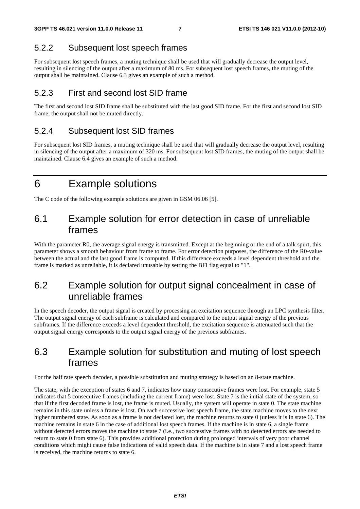#### 5.2.2 Subsequent lost speech frames

For subsequent lost speech frames, a muting technique shall be used that will gradually decrease the output level, resulting in silencing of the output after a maximum of 80 ms. For subsequent lost speech frames, the muting of the output shall be maintained. Clause 6.3 gives an example of such a method.

#### 5.2.3 First and second lost SID frame

The first and second lost SID frame shall be substituted with the last good SID frame. For the first and second lost SID frame, the output shall not be muted directly.

#### 5.2.4 Subsequent lost SID frames

For subsequent lost SID frames, a muting technique shall be used that will gradually decrease the output level, resulting in silencing of the output after a maximum of 320 ms. For subsequent lost SID frames, the muting of the output shall be maintained. Clause 6.4 gives an example of such a method.

## 6 Example solutions

The C code of the following example solutions are given in GSM 06.06 [5].

#### 6.1 Example solution for error detection in case of unreliable frames

With the parameter R0, the average signal energy is transmitted. Except at the beginning or the end of a talk spurt, this parameter shows a smooth behaviour from frame to frame. For error detection purposes, the difference of the R0-value between the actual and the last good frame is computed. If this difference exceeds a level dependent threshold and the frame is marked as unreliable, it is declared unusable by setting the BFI flag equal to "1".

#### 6.2 Example solution for output signal concealment in case of unreliable frames

In the speech decoder, the output signal is created by processing an excitation sequence through an LPC synthesis filter. The output signal energy of each subframe is calculated and compared to the output signal energy of the previous subframes. If the difference exceeds a level dependent threshold, the excitation sequence is attenuated such that the output signal energy corresponds to the output signal energy of the previous subframes.

### 6.3 Example solution for substitution and muting of lost speech frames

For the half rate speech decoder, a possible substitution and muting strategy is based on an 8-state machine.

The state, with the exception of states 6 and 7, indicates how many consecutive frames were lost. For example, state 5 indicates that 5 consecutive frames (including the current frame) were lost. State 7 is the initial state of the system, so that if the first decoded frame is lost, the frame is muted. Usually, the system will operate in state 0. The state machine remains in this state unless a frame is lost. On each successive lost speech frame, the state machine moves to the next higher numbered state. As soon as a frame is not declared lost, the machine returns to state 0 (unless it is in state 6). The machine remains in state 6 in the case of additional lost speech frames. If the machine is in state 6, a single frame without detected errors moves the machine to state 7 (i.e., two successive frames with no detected errors are needed to return to state 0 from state 6). This provides additional protection during prolonged intervals of very poor channel conditions which might cause false indications of valid speech data. If the machine is in state 7 and a lost speech frame is received, the machine returns to state 6.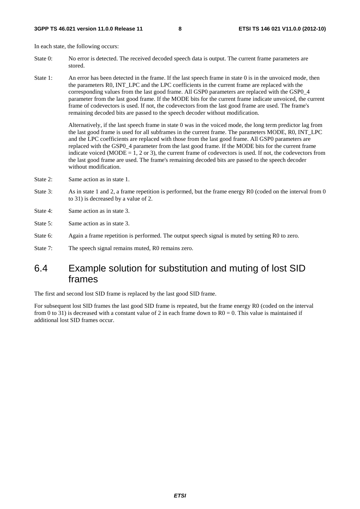In each state, the following occurs:

- State 0: No error is detected. The received decoded speech data is output. The current frame parameters are stored.
- State 1: An error has been detected in the frame. If the last speech frame in state 0 is in the unvoiced mode, then the parameters R0, INT\_LPC and the LPC coefficients in the current frame are replaced with the corresponding values from the last good frame. All GSP0 parameters are replaced with the GSP0\_4 parameter from the last good frame. If the MODE bits for the current frame indicate unvoiced, the current frame of codevectors is used. If not, the codevectors from the last good frame are used. The frame's remaining decoded bits are passed to the speech decoder without modification.

 Alternatively, if the last speech frame in state 0 was in the voiced mode, the long term predictor lag from the last good frame is used for all subframes in the current frame. The parameters MODE, R0, INT\_LPC and the LPC coefficients are replaced with those from the last good frame. All GSP0 parameters are replaced with the GSP0\_4 parameter from the last good frame. If the MODE bits for the current frame indicate voiced (MODE  $= 1, 2$  or 3), the current frame of codevectors is used. If not, the codevectors from the last good frame are used. The frame's remaining decoded bits are passed to the speech decoder without modification.

- State 2: Same action as in state 1.
- State 3: As in state 1 and 2, a frame repetition is performed, but the frame energy R0 (coded on the interval from 0 to 31) is decreased by a value of 2.
- State 4: Same action as in state 3.
- State 5: Same action as in state 3.
- State 6: Again a frame repetition is performed. The output speech signal is muted by setting R0 to zero.
- State 7: The speech signal remains muted, R0 remains zero.

#### 6.4 Example solution for substitution and muting of lost SID frames

The first and second lost SID frame is replaced by the last good SID frame.

For subsequent lost SID frames the last good SID frame is repeated, but the frame energy R0 (coded on the interval from 0 to 31) is decreased with a constant value of 2 in each frame down to  $R0 = 0$ . This value is maintained if additional lost SID frames occur.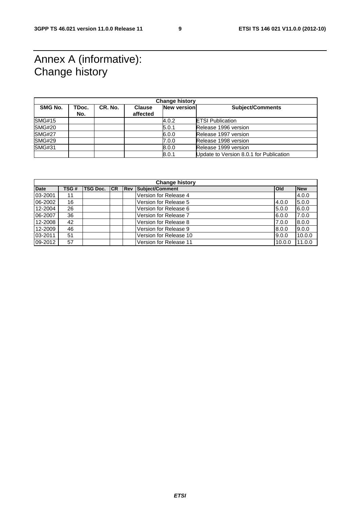# Annex A (informative): Change history

| <b>Change history</b> |       |         |               |                    |                                         |  |  |
|-----------------------|-------|---------|---------------|--------------------|-----------------------------------------|--|--|
| SMG No.               | TDoc. | CR. No. | <b>Clause</b> | <b>New version</b> | <b>Subject/Comments</b>                 |  |  |
|                       | No.   |         | affected      |                    |                                         |  |  |
| <b>SMG#15</b>         |       |         |               | 4.0.2              | <b>ETSI Publication</b>                 |  |  |
| <b>SMG#20</b>         |       |         |               | 5.0.1              | Release 1996 version                    |  |  |
| <b>SMG#27</b>         |       |         |               | 6.0.0              | Release 1997 version                    |  |  |
| <b>SMG#29</b>         |       |         |               | 7.0.0              | Release 1998 version                    |  |  |
| <b>SMG#31</b>         |       |         |               | 8.0.0              | Release 1999 version                    |  |  |
|                       |       |         |               | 8.0.1              | Update to Version 8.0.1 for Publication |  |  |

| <b>Change history</b> |       |                 |    |            |                        |            |            |
|-----------------------|-------|-----------------|----|------------|------------------------|------------|------------|
| <b>Date</b>           | TSG # | <b>TSG Doc.</b> | CR | <b>Rev</b> | Subject/Comment        | <b>Old</b> | <b>New</b> |
| 03-2001               | 11    |                 |    |            | Version for Release 4  |            | 4.0.0      |
| 06-2002               | 16    |                 |    |            | Version for Release 5  | 4.0.0      | 5.0.0      |
| 12-2004               | 26    |                 |    |            | Version for Release 6  | 5.0.0      | 6.0.0      |
| 06-2007               | 36    |                 |    |            | Version for Release 7  | 6.0.0      | 7.0.0      |
| 12-2008               | 42    |                 |    |            | Version for Release 8  | 7.0.0      | 8.0.0      |
| 12-2009               | 46    |                 |    |            | Version for Release 9  | 8.0.0      | 9.0.0      |
| 03-2011               | 51    |                 |    |            | Version for Release 10 | 9.0.0      | 10.0.0     |
| 09-2012               | 57    |                 |    |            | Version for Release 11 | 10.0.0     | 11.0.0     |